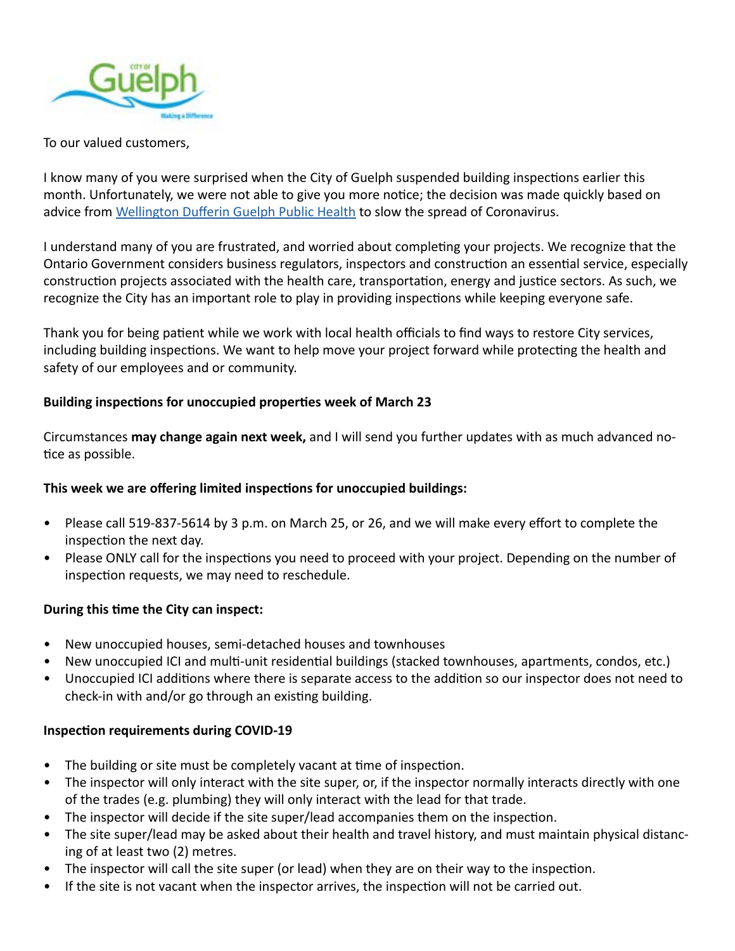

To our valued customers,

I know many of you were surprised when the City of Guelph suspended building inspections earlier this month. Unfortunately, we were not able to give you more notice; the decision was made quickly based on advice from [Wellington Dufferin Guelph Public Health](https://wdgpublichealth.ca/) to slow the spread of Coronavirus.

I understand many of you are frustrated, and worried about completing your projects. We recognize that the Ontario Government considers business regulators, inspectors and construction an essential service, especially construction projects associated with the health care, transportation, energy and justice sectors. As such, we recognize the City has an important role to play in providing inspections while keeping everyone safe.

Thank you for being patient while we work with local health officials to find ways to restore City services, including building inspections. We want to help move your project forward while protecting the health and safety of our employees and or community.

## **Building inspections for unoccupied properties week of March 23**

Circumstances **may change again next week,** and I will send you further updates with as much advanced notice as possible.

## **This week we are offering limited inspections for unoccupied buildings:**

- Please call 519-837-5614 by 3 p.m. on March 25, or 26, and we will make every effort to complete the inspection the next day.
- Please ONLY call for the inspections you need to proceed with your project. Depending on the number of inspection requests, we may need to reschedule.

## **During this time the City can inspect:**

- New unoccupied houses, semi-detached houses and townhouses
- New unoccupied ICI and multi-unit residential buildings (stacked townhouses, apartments, condos, etc.)
- Unoccupied ICI additions where there is separate access to the addition so our inspector does not need to check-in with and/or go through an existing building.

# **Inspection requirements during COVID-19**

- The building or site must be completely vacant at time of inspection.
- The inspector will only interact with the site super, or, if the inspector normally interacts directly with one of the trades (e.g. plumbing) they will only interact with the lead for that trade.
- The inspector will decide if the site super/lead accompanies them on the inspection.
- The site super/lead may be asked about their health and travel history, and must maintain physical distancing of at least two (2) metres.
- The inspector will call the site super (or lead) when they are on their way to the inspection.
- If the site is not vacant when the inspector arrives, the inspection will not be carried out.